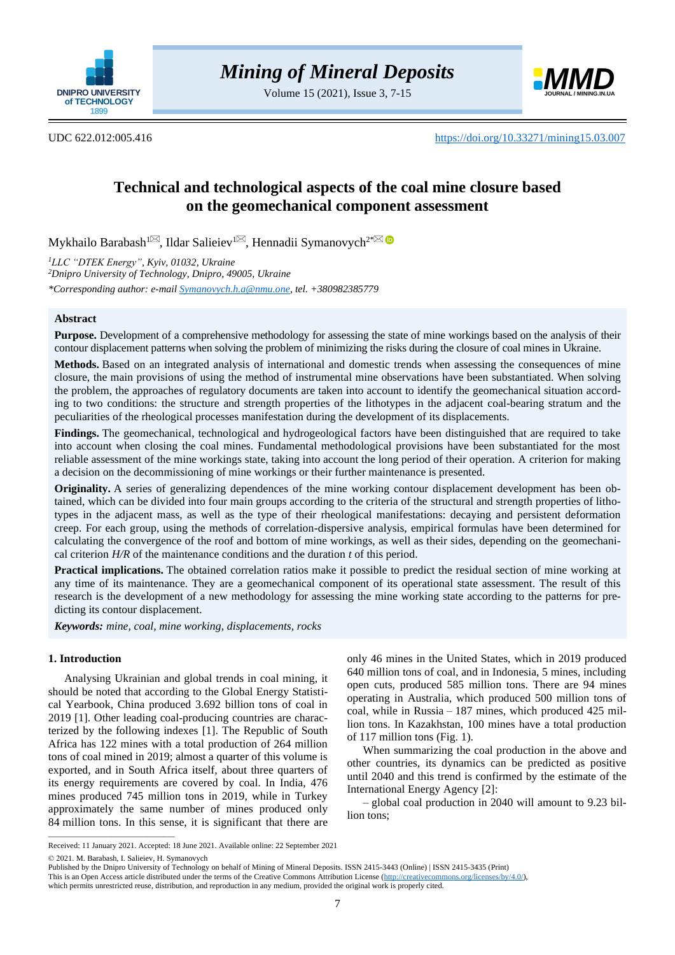

Volume 15 (2021), Issue 3, 7-15



UDC 622.012:005.416 <https://doi.org/10.33271/mining15.03.007>

# **Technical and technological aspects of the coal mine closure based on the geomechanical component assessment**

Mykhailo Barabash $^{1\boxtimes}$ [,](mailto:BarabashMV@dtek.com) Ildar Salieiev $^{1\boxtimes}$ , Hennadii Symanovych $^{2^*}$  $^{2^*}$  $^{2^*}$ 

*<sup>1</sup>LLC "DTEK Energy", Kyiv, 01032, Ukraine <sup>2</sup>Dnipro University of Technology, Dnipro, 49005, Ukraine \*Corresponding author: e-mai[l Symanovych.h.a@nmu.one,](mailto:Symanovych.h.a@nmu.one) tel. +380982385779*

# **Abstract**

**Purpose.** Development of a comprehensive methodology for assessing the state of mine workings based on the analysis of their contour displacement patterns when solving the problem of minimizing the risks during the closure of coal mines in Ukraine.

**Methods.** Based on an integrated analysis of international and domestic trends when assessing the consequences of mine closure, the main provisions of using the method of instrumental mine observations have been substantiated. When solving the problem, the approaches of regulatory documents are taken into account to identify the geomechanical situation according to two conditions: the structure and strength properties of the lithotypes in the adjacent coal-bearing stratum and the peculiarities of the rheological processes manifestation during the development of its displacements.

**Findings.** The geomechanical, technological and hydrogeological factors have been distinguished that are required to take into account when closing the coal mines. Fundamental methodological provisions have been substantiated for the most reliable assessment of the mine workings state, taking into account the long period of their operation. A criterion for making a decision on the decommissioning of mine workings or their further maintenance is presented.

**Originality.** A series of generalizing dependences of the mine working contour displacement development has been obtained, which can be divided into four main groups according to the criteria of the structural and strength properties of lithotypes in the adjacent mass, as well as the type of their rheological manifestations: decaying and persistent deformation creep. For each group, using the methods of correlation-dispersive analysis, empirical formulas have been determined for calculating the convergence of the roof and bottom of mine workings, as well as their sides, depending on the geomechanical criterion *H/R* of the maintenance conditions and the duration *t* of this period.

**Practical implications.** The obtained correlation ratios make it possible to predict the residual section of mine working at any time of its maintenance. They are a geomechanical component of its operational state assessment. The result of this research is the development of a new methodology for assessing the mine working state according to the patterns for predicting its contour displacement.

*Keywords: mine, coal, mine working, displacements, rocks*

# **1. Introduction**

Analysing Ukrainian and global trends in coal mining, it should be noted that according to the Global Energy Statistical Yearbook, China produced 3.692 billion tons of coal in 2019 [\[1\].](#page-6-0) Other leading coal-producing countries are characterized by the following indexes [\[1\].](#page-6-0) The Republic of South Africa has 122 mines with a total production of 264 million tons of coal mined in 2019; almost a quarter of this volume is exported, and in South Africa itself, about three quarters of its energy requirements are covered by coal. In India, 476 mines produced 745 million tons in 2019, while in Turkey approximately the same number of mines produced only 84 million tons. In this sense, it is significant that there are

only 46 mines in the United States, which in 2019 produced 640 million tons of coal, and in Indonesia, 5 mines, including open cuts, produced 585 million tons. There are 94 mines operating in Australia, which produced 500 million tons of coal, while in Russia – 187 mines, which produced 425 million tons. In Kazakhstan, 100 mines have a total production of 117 million tons (Fig. 1).

When summarizing the coal production in the above and other countries, its dynamics can be predicted as positive until 2040 and this trend is confirmed by the estimate of the International Energy Agenc[y \[2\]:](#page-6-1)

– global coal production in 2040 will amount to 9.23 billion tons;

© 2021. M. Barabash, I. Salieiev, H. Symanovych

 $\overline{\phantom{a}}$  ,  $\overline{\phantom{a}}$  ,  $\overline{\phantom{a}}$  ,  $\overline{\phantom{a}}$  ,  $\overline{\phantom{a}}$  ,  $\overline{\phantom{a}}$  ,  $\overline{\phantom{a}}$  ,  $\overline{\phantom{a}}$  ,  $\overline{\phantom{a}}$  ,  $\overline{\phantom{a}}$  ,  $\overline{\phantom{a}}$  ,  $\overline{\phantom{a}}$  ,  $\overline{\phantom{a}}$  ,  $\overline{\phantom{a}}$  ,  $\overline{\phantom{a}}$  ,  $\overline{\phantom{a}}$ 

Received: 11 January 2021. Accepted: 18 June 2021. Available online: 22 September 2021

Published by the Dnipro University of Technology on behalf of Mining of Mineral Deposits. ISSN 2415-3443 (Online) | ISSN 2415-3435 (Print)

This is an Open Access article distributed under the terms of the Creative Commons Attribution License [\(http://creativecommons.org/licenses/by/4.0/\)](http://creativecommons.org/licenses/by/4.0/),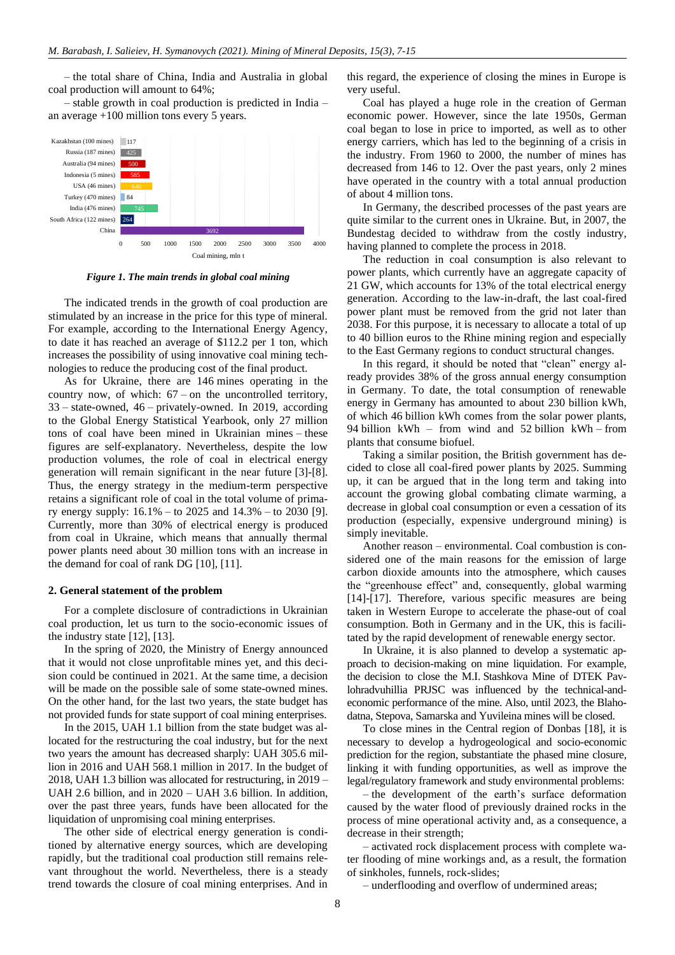– the total share of China, India and Australia in global coal production will amount to 64%;

– stable growth in coal production is predicted in India – an average +100 million tons every 5 years.



*Figure 1. The main trends in global coal mining*

The indicated trends in the growth of coal production are stimulated by an increase in the price for this type of mineral. For example, according to the International Energy Agency, to date it has reached an average of \$112.2 per 1 ton, which increases the possibility of using innovative coal mining technologies to reduce the producing cost of the final product.

As for Ukraine, there are 146 mines operating in the country now, of which:  $67$  – on the uncontrolled territory, 33 – state-owned, 46 – privately-owned. In 2019, according to the Global Energy Statistical Yearbook, only 27 million tons of coal have been mined in Ukrainian mines – these figures are self-explanatory. Nevertheless, despite the low production volumes, the role of coal in electrical energy generation will remain significant in the near future [\[3\]](#page-6-2)[-\[8\].](#page-6-3) Thus, the energy strategy in the medium-term perspective retains a significant role of coal in the total volume of primary energy supply: 16.1% – to 2025 and 14.3% – to 2030 [\[9\].](#page-6-4) Currently, more than 30% of electrical energy is produced from coal in Ukraine, which means that annually thermal power plants need about 30 million tons with an increase in the demand for coal of rank DG [\[10\],](#page-6-5) [\[11\].](#page-6-6)

#### **2. General statement of the problem**

For a complete disclosure of contradictions in Ukrainian coal production, let us turn to the socio-economic issues of the industry state  $[12]$ ,  $[13]$ .

In the spring of 2020, the Ministry of Energy announced that it would not close unprofitable mines yet, and this decision could be continued in 2021. At the same time, a decision will be made on the possible sale of some state-owned mines. On the other hand, for the last two years, the state budget has not provided funds for state support of coal mining enterprises.

In the 2015, UAH 1.1 billion from the state budget was allocated for the restructuring the coal industry, but for the next two years the amount has decreased sharply: UAH 305.6 million in 2016 and UAH 568.1 million in 2017. In the budget of 2018, UAH 1.3 billion was allocated for restructuring, in 2019 – UAH 2.6 billion, and in 2020 – UAH 3.6 billion. In addition, over the past three years, funds have been allocated for the liquidation of unpromising coal mining enterprises.

The other side of electrical energy generation is conditioned by alternative energy sources, which are developing rapidly, but the traditional coal production still remains relevant throughout the world. Nevertheless, there is a steady trend towards the closure of coal mining enterprises. And in

this regard, the experience of closing the mines in Europe is very useful.

Coal has played a huge role in the creation of German economic power. However, since the late 1950s, German coal began to lose in price to imported, as well as to other energy carriers, which has led to the beginning of a crisis in the industry. From 1960 to 2000, the number of mines has decreased from 146 to 12. Over the past years, only 2 mines have operated in the country with a total annual production of about 4 million tons.

In Germany, the described processes of the past years are quite similar to the current ones in Ukraine. But, in 2007, the Bundestag decided to withdraw from the costly industry, having planned to complete the process in 2018.

The reduction in coal consumption is also relevant to power plants, which currently have an aggregate capacity of 21 GW, which accounts for 13% of the total electrical energy generation. According to the law-in-draft, the last coal-fired power plant must be removed from the grid not later than 2038. For this purpose, it is necessary to allocate a total of up to 40 billion euros to the Rhine mining region and especially to the East Germany regions to conduct structural changes.

In this regard, it should be noted that "clean" energy already provides 38% of the gross annual energy consumption in Germany. To date, the total consumption of renewable energy in Germany has amounted to about 230 billion kWh, of which 46 billion kWh comes from the solar power plants, 94 billion kWh – from wind and 52 billion kWh – from plants that consume biofuel.

Taking a similar position, the British government has decided to close all coal-fired power plants by 2025. Summing up, it can be argued that in the long term and taking into account the growing global combating climate warming, a decrease in global coal consumption or even a cessation of its production (especially, expensive underground mining) is simply inevitable.

Another reason – environmental. Coal combustion is considered one of the main reasons for the emission of large carbon dioxide amounts into the atmosphere, which causes the "greenhouse effect" and, consequently, global warming [\[14\]](#page-6-9)[-\[17\].](#page-6-10) Therefore, various specific measures are being taken in Western Europe to accelerate the phase-out of coal consumption. Both in Germany and in the UK, this is facilitated by the rapid development of renewable energy sector.

In Ukraine, it is also planned to develop a systematic approach to decision-making on mine liquidation. For example, the decision to close the M.I. Stashkova Mine of DTEK Pavlohradvuhillia PRJSC was influenced by the technical-andeconomic performance of the mine. Also, until 2023, the Blahodatna, Stepova, Samarska and Yuvileina mines will be closed.

To close mines in the Central region of Donbas [\[18\],](#page-6-11) it is necessary to develop a hydrogeological and socio-economic prediction for the region, substantiate the phased mine closure, linking it with funding opportunities, as well as improve the legal/regulatory framework and study environmental problems:

– the development of the earth's surface deformation caused by the water flood of previously drained rocks in the process of mine operational activity and, as a consequence, a decrease in their strength;

– activated rock displacement process with complete water flooding of mine workings and, as a result, the formation of sinkholes, funnels, rock-slides;

– underflooding and overflow of undermined areas;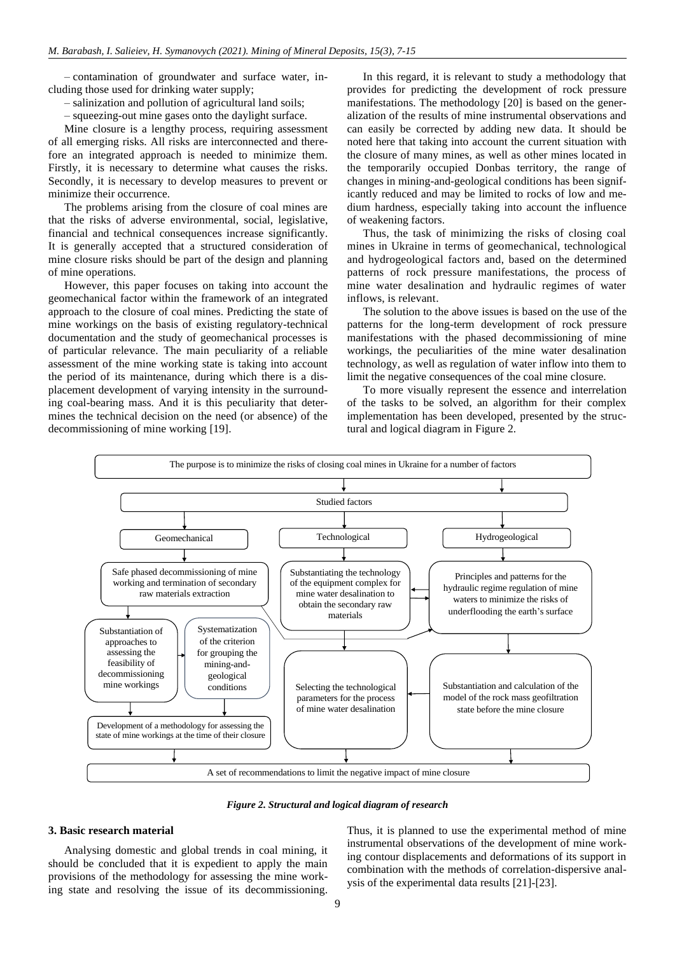– contamination of groundwater and surface water, including those used for drinking water supply;

– salinization and pollution of agricultural land soils;

– squeezing-out mine gases onto the daylight surface.

Mine closure is a lengthy process, requiring assessment of all emerging risks. All risks are interconnected and therefore an integrated approach is needed to minimize them. Firstly, it is necessary to determine what causes the risks. Secondly, it is necessary to develop measures to prevent or minimize their occurrence.

The problems arising from the closure of coal mines are that the risks of adverse environmental, social, legislative, financial and technical consequences increase significantly. It is generally accepted that a structured consideration of mine closure risks should be part of the design and planning of mine operations.

However, this paper focuses on taking into account the geomechanical factor within the framework of an integrated approach to the closure of coal mines. Predicting the state of mine workings on the basis of existing regulatory-technical documentation and the study of geomechanical processes is of particular relevance. The main peculiarity of a reliable assessment of the mine working state is taking into account the period of its maintenance, during which there is a displacement development of varying intensity in the surrounding coal-bearing mass. And it is this peculiarity that determines the technical decision on the need (or absence) of the decommissioning of mine working [\[19\].](#page-6-12)

In this regard, it is relevant to study a methodology that provides for predicting the development of rock pressure manifestations. The methodology [\[20\]](#page-6-13) is based on the generalization of the results of mine instrumental observations and can easily be corrected by adding new data. It should be noted here that taking into account the current situation with the closure of many mines, as well as other mines located in the temporarily occupied Donbas territory, the range of changes in mining-and-geological conditions has been significantly reduced and may be limited to rocks of low and medium hardness, especially taking into account the influence of weakening factors.

Thus, the task of minimizing the risks of closing coal mines in Ukraine in terms of geomechanical, technological and hydrogeological factors and, based on the determined patterns of rock pressure manifestations, the process of mine water desalination and hydraulic regimes of water inflows, is relevant.

The solution to the above issues is based on the use of the patterns for the long-term development of rock pressure manifestations with the phased decommissioning of mine workings, the peculiarities of the mine water desalination technology, as well as regulation of water inflow into them to limit the negative consequences of the coal mine closure.

To more visually represent the essence and interrelation of the tasks to be solved, an algorithm for their complex implementation has been developed, presented by the structural and logical diagram in Figure 2.



*Figure 2. Structural and logical diagram of research*

## **3. Basic research material**

Analysing domestic and global trends in coal mining, it should be concluded that it is expedient to apply the main provisions of the methodology for assessing the mine working state and resolving the issue of its decommissioning. Thus, it is planned to use the experimental method of mine instrumental observations of the development of mine working contour displacements and deformations of its support in combination with the methods of correlation-dispersive analysis of the experimental data results [\[21\]](#page-6-14)[-\[23\].](#page-6-15)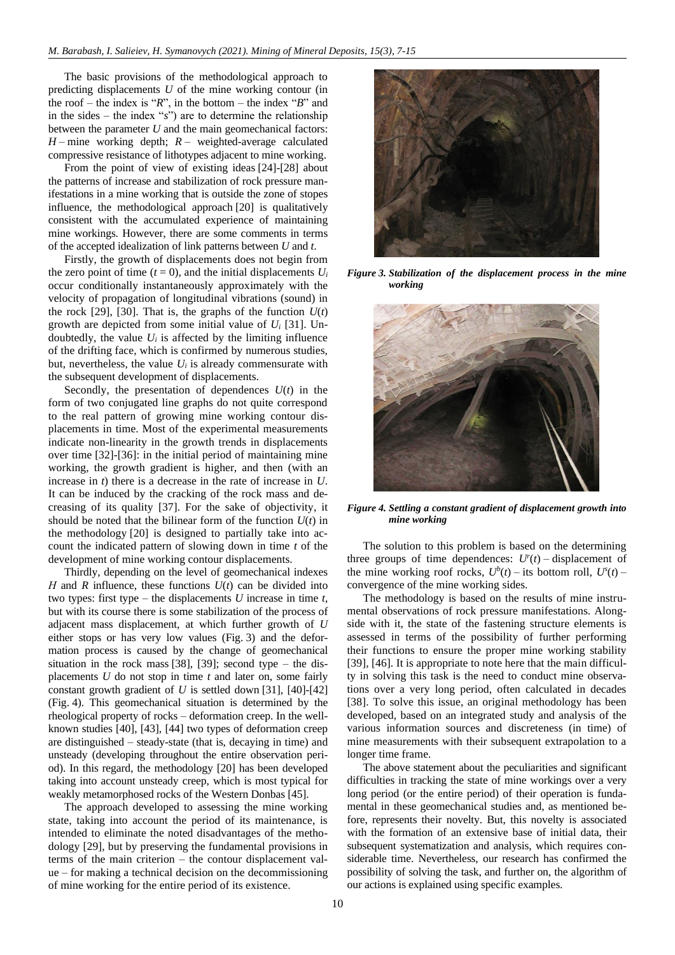The basic provisions of the methodological approach to predicting displacements *U* of the mine working contour (in the roof – the index is "*R*", in the bottom – the index "*B*" and in the sides – the index "*s*") are to determine the relationship between the parameter *U* and the main geomechanical factors: *H* – mine working depth; *R –* weighted-average calculated compressive resistance of lithotypes adjacent to mine working.

From the point of view of existing ideas [\[24\]](#page-6-16)[-\[28\]](#page-7-0) about the patterns of increase and stabilization of rock pressure manifestations in a mine working that is outside the zone of stopes influence, the methodological approach [\[20\]](#page-6-13) is qualitatively consistent with the accumulated experience of maintaining mine workings. However, there are some comments in terms of the accepted idealization of link patterns between *U* and *t*.

Firstly, the growth of displacements does not begin from the zero point of time ( $t = 0$ ), and the initial displacements  $U_i$ occur conditionally instantaneously approximately with the velocity of propagation of longitudinal vibrations (sound) in the rock [\[29\],](#page-7-1) [\[30\].](#page-7-2) That is, the graphs of the function  $U(t)$ growth are depicted from some initial value of *U<sup>i</sup>* [\[31\].](#page-7-3) Undoubtedly, the value  $U_i$  is affected by the limiting influence of the drifting face, which is confirmed by numerous studies, but, nevertheless, the value  $U_i$  is already commensurate with the subsequent development of displacements.

Secondly, the presentation of dependences  $U(t)$  in the form of two conjugated line graphs do not quite correspond to the real pattern of growing mine working contour displacements in time. Most of the experimental measurements indicate non-linearity in the growth trends in displacements over time [\[32\]](#page-7-4)[-\[36\]:](#page-7-5) in the initial period of maintaining mine working, the growth gradient is higher, and then (with an increase in *t*) there is a decrease in the rate of increase in *U*. It can be induced by the cracking of the rock mass and decreasing of its quality [\[37\].](#page-7-6) For the sake of objectivity, it should be noted that the bilinear form of the function  $U(t)$  in the methodology [\[20\]](#page-6-13) is designed to partially take into account the indicated pattern of slowing down in time *t* of the development of mine working contour displacements.

Thirdly, depending on the level of geomechanical indexes *H* and *R* influence, these functions  $U(t)$  can be divided into two types: first type – the displacements *U* increase in time *t*, but with its course there is some stabilization of the process of adjacent mass displacement, at which further growth of *U* either stops or has very low values (Fig. 3) and the deformation process is caused by the change of geomechanical situation in the rock mass [\[38\],](#page-7-7) [\[39\];](#page-7-8) second type – the displacements *U* do not stop in time *t* and later on, some fairly constant growth gradient of *U* is settled down [\[31\],](#page-7-3) [\[40\]-](#page-7-9)[\[42\]](#page-7-10) (Fig. 4). This geomechanical situation is determined by the rheological property of rocks – deformation creep. In the wellknown studies [\[40\],](#page-7-9) [\[43\],](#page-7-11) [\[44\]](#page-7-12) two types of deformation creep are distinguished – steady-state (that is, decaying in time) and unsteady (developing throughout the entire observation period). In this regard, the methodology [\[20\]](#page-6-13) has been developed taking into account unsteady creep, which is most typical for weakly metamorphosed rocks of the Western Donbas [\[45\].](#page-7-13)

The approach developed to assessing the mine working state, taking into account the period of its maintenance, is intended to eliminate the noted disadvantages of the methodology [\[29\],](#page-7-1) but by preserving the fundamental provisions in terms of the main criterion – the contour displacement value – for making a technical decision on the decommissioning of mine working for the entire period of its existence.



*Figure 3. Stabilization of the displacement process in the mine working*



*Figure 4. Settling a constant gradient of displacement growth into mine working*

The solution to this problem is based on the determining three groups of time dependences:  $U^r(t)$  – displacement of the mine working roof rocks,  $U^b(t)$  – its bottom roll,  $U^s(t)$  – convergence of the mine working sides.

The methodology is based on the results of mine instrumental observations of rock pressure manifestations. Alongside with it, the state of the fastening structure elements is assessed in terms of the possibility of further performing their functions to ensure the proper mine working stability [\[39\],](#page-7-8) [\[46\].](#page-7-14) It is appropriate to note here that the main difficulty in solving this task is the need to conduct mine observations over a very long period, often calculated in decades [\[38\].](#page-7-7) To solve this issue, an original methodology has been developed, based on an integrated study and analysis of the various information sources and discreteness (in time) of mine measurements with their subsequent extrapolation to a longer time frame.

The above statement about the peculiarities and significant difficulties in tracking the state of mine workings over a very long period (or the entire period) of their operation is fundamental in these geomechanical studies and, as mentioned before, represents their novelty. But, this novelty is associated with the formation of an extensive base of initial data, their subsequent systematization and analysis, which requires considerable time. Nevertheless, our research has confirmed the possibility of solving the task, and further on, the algorithm of our actions is explained using specific examples.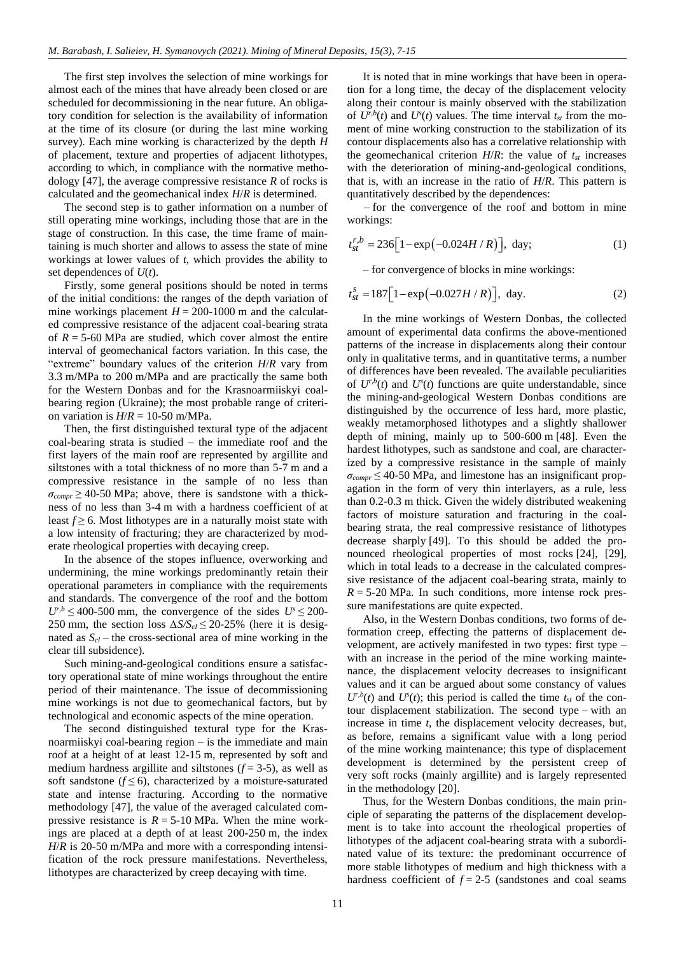The first step involves the selection of mine workings for almost each of the mines that have already been closed or are scheduled for decommissioning in the near future. An obligatory condition for selection is the availability of information at the time of its closure (or during the last mine working survey). Each mine working is characterized by the depth *H* of placement, texture and properties of adjacent lithotypes, according to which, in compliance with the normative methodology [\[47\],](#page-7-15) the average compressive resistance *R* of rocks is calculated and the geomechanical index *H*/*R* is determined.

The second step is to gather information on a number of still operating mine workings, including those that are in the stage of construction. In this case, the time frame of maintaining is much shorter and allows to assess the state of mine workings at lower values of *t*, which provides the ability to set dependences of *U*(*t*).

Firstly, some general positions should be noted in terms of the initial conditions: the ranges of the depth variation of mine workings placement  $H = 200-1000$  m and the calculated compressive resistance of the adjacent coal-bearing strata of  $R = 5-60$  MPa are studied, which cover almost the entire interval of geomechanical factors variation. In this case, the "extreme" boundary values of the criterion *H*/*R* vary from 3.3 m/MPa to 200 m/MPa and are practically the same both for the Western Donbas and for the Krasnoarmiiskyi coalbearing region (Ukraine); the most probable range of criterion variation is  $H/R = 10-50$  m/MPa.

Then, the first distinguished textural type of the adjacent coal-bearing strata is studied – the immediate roof and the first layers of the main roof are represented by argillite and siltstones with a total thickness of no more than 5-7 m and a compressive resistance in the sample of no less than  $\sigma_{compr} \geq 40$ -50 MPa; above, there is sandstone with a thickness of no less than 3-4 m with a hardness coefficient of at least  $f \ge 6$ . Most lithotypes are in a naturally moist state with a low intensity of fracturing; they are characterized by moderate rheological properties with decaying creep.

In the absence of the stopes influence, overworking and undermining, the mine workings predominantly retain their operational parameters in compliance with the requirements and standards. The convergence of the roof and the bottom  $U^{r,b} \leq 400$ -500 mm, the convergence of the sides  $U^s \leq 200$ -250 mm, the section loss *∆S/Scl* ≤ 20-25% (here it is designated as  $S_{cl}$  – the cross-sectional area of mine working in the clear till subsidence).

Such mining-and-geological conditions ensure a satisfactory operational state of mine workings throughout the entire period of their maintenance. The issue of decommissioning mine workings is not due to geomechanical factors, but by technological and economic aspects of the mine operation.

The second distinguished textural type for the Krasnoarmiiskyi coal-bearing region – is the immediate and main roof at a height of at least 12-15 m, represented by soft and medium hardness argillite and siltstones  $(f = 3-5)$ , as well as soft sandstone  $(f \le 6)$ , characterized by a moisture-saturated state and intense fracturing. According to the normative methodology [\[47\],](#page-7-15) the value of the averaged calculated compressive resistance is  $R = 5{\text -}10$  MPa. When the mine workings are placed at a depth of at least 200-250 m, the index *H*/*R* is 20-50 m/MPa and more with a corresponding intensification of the rock pressure manifestations. Nevertheless, lithotypes are characterized by creep decaying with time.

It is noted that in mine workings that have been in operation for a long time, the decay of the displacement velocity along their contour is mainly observed with the stabilization of  $U^{r,b}(t)$  and  $U^{s}(t)$  values. The time interval  $t_{st}$  from the moment of mine working construction to the stabilization of its contour displacements also has a correlative relationship with the geomechanical criterion  $H/R$ : the value of  $t_{st}$  increases with the deterioration of mining-and-geological conditions, that is, with an increase in the ratio of *H*/*R*. This pattern is quantitatively described by the dependences:

– for the convergence of the roof and bottom in mine workings:

$$
t_{st}^{r,b} = 236[1 - \exp(-0.024H/R)], \text{ day}; \qquad (1)
$$

– for convergence of blocks in mine workings:

$$
t_{st}^{s} = 187 \Big[ 1 - \exp(-0.027 H / R) \Big], \text{ day.} \tag{2}
$$

In the mine workings of Western Donbas, the collected amount of experimental data confirms the above-mentioned patterns of the increase in displacements along their contour only in qualitative terms, and in quantitative terms, a number of differences have been revealed. The available peculiarities of  $U^{r,b}(t)$  and  $U^{s}(t)$  functions are quite understandable, since the mining-and-geological Western Donbas conditions are distinguished by the occurrence of less hard, more plastic, weakly metamorphosed lithotypes and a slightly shallower depth of mining, mainly up to 500-600 m [\[48\].](#page-7-16) Even the hardest lithotypes, such as sandstone and coal, are characterized by a compressive resistance in the sample of mainly  $\sigma_{compr} \leq 40$ -50 MPa, and limestone has an insignificant propagation in the form of very thin interlayers, as a rule, less than 0.2-0.3 m thick. Given the widely distributed weakening factors of moisture saturation and fracturing in the coalbearing strata, the real compressive resistance of lithotypes decrease sharply [\[49\].](#page-7-17) To this should be added the pronounced rheological properties of most rocks [\[24\],](#page-6-16) [\[29\],](#page-7-1) which in total leads to a decrease in the calculated compressive resistance of the adjacent coal-bearing strata, mainly to  $R = 5-20$  MPa. In such conditions, more intense rock pressure manifestations are quite expected.

Also, in the Western Donbas conditions, two forms of deformation creep, effecting the patterns of displacement development, are actively manifested in two types: first type – with an increase in the period of the mine working maintenance, the displacement velocity decreases to insignificant values and it can be argued about some constancy of values  $U^{r,b}(t)$  and  $U^{s}(t)$ ; this period is called the time  $t_{st}$  of the contour displacement stabilization. The second type – with an increase in time *t*, the displacement velocity decreases, but, as before, remains a significant value with a long period of the mine working maintenance; this type of displacement development is determined by the persistent creep of very soft rocks (mainly argillite) and is largely represented in the methodology [\[20\].](#page-6-13)

Thus, for the Western Donbas conditions, the main principle of separating the patterns of the displacement development is to take into account the rheological properties of lithotypes of the adjacent coal-bearing strata with a subordinated value of its texture: the predominant occurrence of more stable lithotypes of medium and high thickness with a hardness coefficient of  $f = 2-5$  (sandstones and coal seams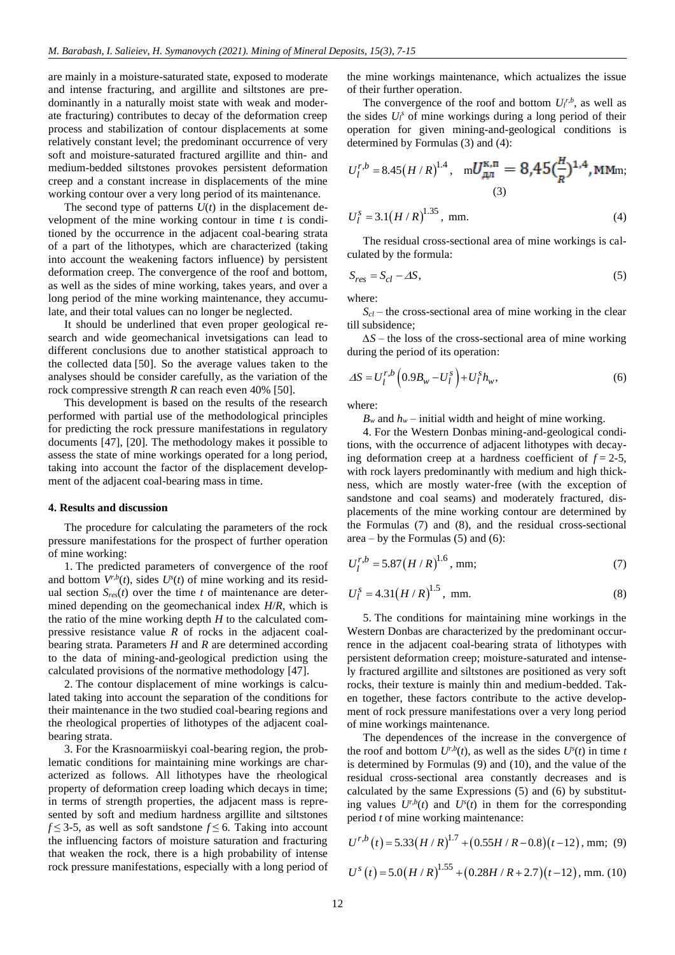are mainly in a moisture-saturated state, exposed to moderate and intense fracturing, and argillite and siltstones are predominantly in a naturally moist state with weak and moderate fracturing) contributes to decay of the deformation creep process and stabilization of contour displacements at some relatively constant level; the predominant occurrence of very soft and moisture-saturated fractured argillite and thin- and medium-bedded siltstones provokes persistent deformation creep and a constant increase in displacements of the mine working contour over a very long period of its maintenance.

The second type of patterns  $U(t)$  in the displacement development of the mine working contour in time *t* is conditioned by the occurrence in the adjacent coal-bearing strata of a part of the lithotypes, which are characterized (taking into account the weakening factors influence) by persistent deformation creep. The convergence of the roof and bottom, as well as the sides of mine working, takes years, and over a long period of the mine working maintenance, they accumulate, and their total values can no longer be neglected.

It should be underlined that even proper geological research and wide geomechanical invetsigations can lead to different conclusions due to another statistical approach to the collected data [\[50\].](#page-7-18) So the average values taken to the analyses should be consider carefully, as the variation of the rock compressive strength *R* can reach even 40% [\[50\].](#page-7-18)

This development is based on the results of the research performed with partial use of the methodological principles for predicting the rock pressure manifestations in regulatory documents [\[47\],](#page-7-15) [\[20\].](#page-6-13) The methodology makes it possible to assess the state of mine workings operated for a long period, taking into account the factor of the displacement development of the adjacent coal-bearing mass in time.

#### **4. Results and discussion**

The procedure for calculating the parameters of the rock pressure manifestations for the prospect of further operation of mine working:

1. The predicted parameters of convergence of the roof and bottom  $V^{r,b}(t)$ , sides  $U^{s}(t)$  of mine working and its residual section  $S_{res}(t)$  over the time *t* of maintenance are determined depending on the geomechanical index *H*/*R*, which is the ratio of the mine working depth *H* to the calculated compressive resistance value *R* of rocks in the adjacent coalbearing strata. Parameters *H* and *R* are determined according to the data of mining-and-geological prediction using the calculated provisions of the normative methodolog[y \[47\].](#page-7-15)

2. The contour displacement of mine workings is calculated taking into account the separation of the conditions for their maintenance in the two studied coal-bearing regions and the rheological properties of lithotypes of the adjacent coalbearing strata.

3. For the Krasnoarmiiskyi coal-bearing region, the problematic conditions for maintaining mine workings are characterized as follows. All lithotypes have the rheological property of deformation creep loading which decays in time; in terms of strength properties, the adjacent mass is represented by soft and medium hardness argillite and siltstones *f* ≤ 3-5, as well as soft sandstone *f* ≤ 6. Taking into account the influencing factors of moisture saturation and fracturing that weaken the rock, there is a high probability of intense rock pressure manifestations, especially with a long period of the mine workings maintenance, which actualizes the issue of their further operation.

The convergence of the roof and bottom  $U_l^{r,b}$ , as well as the sides  $U_l^s$  of mine workings during a long period of their operation for given mining-and-geological conditions is determined by Formulas (3) and (4):

$$
U_l^{r,b} = 8.45 (H/R)^{1.4}, \quad {\rm m}U_{\mu\pi}^{\kappa,\pi} = 8,45 \left(\frac{H}{R}\right)^{1.4}, \text{MMm};
$$
\n(3)

$$
U_l^s = 3.1(H/R)^{1.35}, \text{ mm.} \tag{4}
$$

The residual cross-sectional area of mine workings is calculated by the formula:

$$
S_{res} = S_{cl} - \Delta S, \tag{5}
$$

where:

 $S_{cl}$  – the cross-sectional area of mine working in the clear till subsidence;

*∆S* – the loss of the cross-sectional area of mine working during the period of its operation:

$$
\Delta S = U_l^{r,b} \left( 0.9 B_w - U_l^s \right) + U_l^s h_w, \qquad (6)
$$

where:

 $B_w$  and  $h_w$  – initial width and height of mine working.

4. For the Western Donbas mining-and-geological conditions, with the occurrence of adjacent lithotypes with decaying deformation creep at a hardness coefficient of  $f = 2-5$ , with rock layers predominantly with medium and high thickness, which are mostly water-free (with the exception of sandstone and coal seams) and moderately fractured, displacements of the mine working contour are determined by the Formulas (7) and (8), and the residual cross-sectional area – by the Formulas  $(5)$  and  $(6)$ :

$$
U_l^{r,b} = 5.87 \left( H/R \right)^{1.6}, \text{mm}; \tag{7}
$$

$$
U_l^s = 4.31 \left( H/R \right)^{1.5}, \text{ mm.} \tag{8}
$$

5. The conditions for maintaining mine workings in the Western Donbas are characterized by the predominant occurrence in the adjacent coal-bearing strata of lithotypes with persistent deformation creep; moisture-saturated and intensely fractured argillite and siltstones are positioned as very soft rocks, their texture is mainly thin and medium-bedded. Taken together, these factors contribute to the active development of rock pressure manifestations over a very long period of mine workings maintenance.

The dependences of the increase in the convergence of the roof and bottom  $U^{r,b}(t)$ , as well as the sides  $U^s(t)$  in time *t* is determined by Formulas (9) and (10), and the value of the residual cross-sectional area constantly decreases and is calculated by the same Expressions (5) and (6) by substituting values  $U^{r,b}(t)$  and  $U^{s}(t)$  in them for the corresponding period *t* of mine working maintenance:

$$
U^{r,b}(t) = 5.33 (H/R)^{1.7} + (0.55H/R - 0.8)(t - 12), \text{mm}; (9)
$$
  

$$
U^{s}(t) = 5.0 (H/R)^{1.55} + (0.28H/R + 2.7)(t - 12), \text{mm}. (10)
$$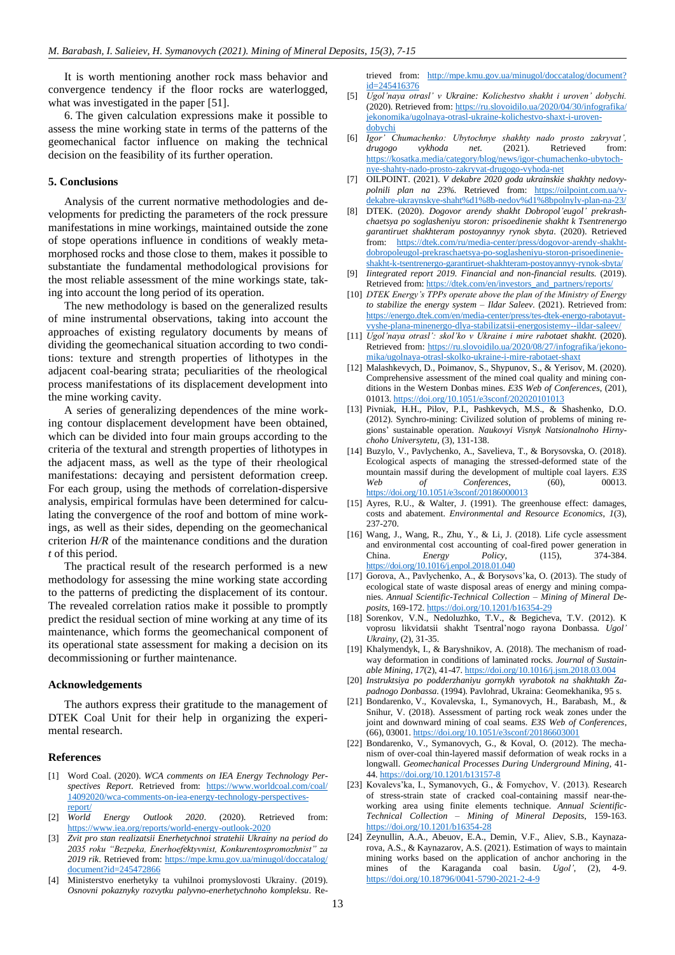It is worth mentioning another rock mass behavior and convergence tendency if the floor rocks are waterlogged, what was investigated in the paper [51].

6. The given calculation expressions make it possible to assess the mine working state in terms of the patterns of the geomechanical factor influence on making the technical decision on the feasibility of its further operation.

### **5. Conclusions**

Analysis of the current normative methodologies and developments for predicting the parameters of the rock pressure manifestations in mine workings, maintained outside the zone of stope operations influence in conditions of weakly metamorphosed rocks and those close to them, makes it possible to substantiate the fundamental methodological provisions for the most reliable assessment of the mine workings state, taking into account the long period of its operation.

The new methodology is based on the generalized results of mine instrumental observations, taking into account the approaches of existing regulatory documents by means of dividing the geomechanical situation according to two conditions: texture and strength properties of lithotypes in the adjacent coal-bearing strata; peculiarities of the rheological process manifestations of its displacement development into the mine working cavity.

A series of generalizing dependences of the mine working contour displacement development have been obtained, which can be divided into four main groups according to the criteria of the textural and strength properties of lithotypes in the adjacent mass, as well as the type of their rheological manifestations: decaying and persistent deformation creep. For each group, using the methods of correlation-dispersive analysis, empirical formulas have been determined for calculating the convergence of the roof and bottom of mine workings, as well as their sides, depending on the geomechanical criterion *H/R* of the maintenance conditions and the duration *t* of this period.

The practical result of the research performed is a new methodology for assessing the mine working state according to the patterns of predicting the displacement of its contour. The revealed correlation ratios make it possible to promptly predict the residual section of mine working at any time of its maintenance, which forms the geomechanical component of its operational state assessment for making a decision on its decommissioning or further maintenance.

#### **Acknowledgements**

The authors express their gratitude to the management of DTEK Coal Unit for their help in organizing the experimental research.

#### **References**

- <span id="page-6-0"></span>[1] Word Coal. (2020). *WCA comments on IEA Energy Technology Perspectives Report*. Retrieved from: https://www.worldcoal.com/coal/ 14092020/wca-comments-on-iea-energy-technology-perspectivesreport/
- <span id="page-6-1"></span>[2] *World Energy Outlook 2020*. (2020). Retrieved from: https://www.iea.org/reports/world-energy-outlook-2020
- <span id="page-6-2"></span>[3] *Zvit pro stan realizatsii Enerhetychnoi stratehii Ukrainy na period do 2035 roku "Bezpeka, Enerhoefektyvnist, Konkurentospromozhnist" za 2019 rik*. Retrieved from: https://mpe.kmu.gov.ua/minugol/doccatalog/ document?id=245472866
- [4] Ministerstvo enerhetyky ta vuhilnoi promyslovosti Ukrainy. (2019). *Osnovni pokaznyky rozvytku palyvno-enerhetychnoho kompleksu*. Re-

trieved from: http://mpe.kmu.gov.ua/minugol/doccatalog/document? id=245416376

- [5] *Ugol'naya otrasl' v Ukraine: Kolichestvo shakht i uroven' dobychi.* (2020). Retrieved from: https://ru.slovoidilo.ua/2020/04/30/infografika/ jekonomika/ugolnaya-otrasl-ukraine-kolichestvo-shaxt-i-urovendobychi
- [6] *Igor' Chumachenko: Ubytochnye shakhty nado prosto zakryvat', drugogo vykhoda net.* (2021). Retrieved from: https://kosatka.media/category/blog/news/igor-chumachenko-ubytochnye-shahty-nado-prosto-zakryvat-drugogo-vyhoda-net
- [7] OILPOINT. (2021). *V dekabre 2020 goda ukrainskie shakhty nedovypolnili plan na 23%.* Retrieved from: https://oilpoint.com.ua/vdekabre-ukraynskye-shaht%d1%8b-nedov%d1%8bpolnyly-plan-na-23/
- <span id="page-6-3"></span>[8] DTEK. (2020). *Dogovor arendy shakht Dobropol'eugol' prekrashchaetsya po soglasheniyu storon: prisoedinenie shakht k Tsentrenergo garantiruet shakhteram postoyannyy rynok sbyta*. (2020). Retrieved from: https://dtek.com/ru/media-center/press/dogovor-arendy-shakhtdobropoleugol-prekraschaetsya-po-soglasheniyu-storon-prisoedinenieshakht-k-tsentrenergo-garantiruet-shakhteram-postoyannyy-rynok-sbyta/
- <span id="page-6-4"></span>[9] *Iintegrated report 2019. Financial and non-financial results.* (2019). Retrieved from: https://dtek.com/en/investors\_and\_partners/reports/
- <span id="page-6-5"></span>[10] *DTEK Energy's TPPs operate above the plan of the Ministry of Energy to stabilize the energy system – Ildar Saleev.* (2021). Retrieved from: https://energo.dtek.com/en/media-center/press/tes-dtek-energo-rabotayutvyshe-plana-minenergo-dlya-stabilizatsii-energosistemy--ildar-saleev/
- <span id="page-6-6"></span>[11] *Ugol'naya otrasl': skol'ko v Ukraine i mire rabotaet shakht.* (2020). Retrieved from: https://ru.slovoidilo.ua/2020/08/27/infografika/jekonomika/ugolnaya-otrasl-skolko-ukraine-i-mire-rabotaet-shaxt
- <span id="page-6-7"></span>[12] Malashkevych, D., Poimanov, S., Shypunov, S., & Yerisov, M. (2020). Comprehensive assessment of the mined coal quality and mining conditions in the Western Donbas mines. *E3S Web of Conferences*, (201), 01013. https://doi.org/10.1051/e3sconf/202020101013
- <span id="page-6-8"></span>[13] Pivniak, H.H., Pilov, P.I., Pashkevych, M.S., & Shashenko, D.O. (2012). Synchro-mining: Civilized solution of problems of mining regions' sustainable operation. *Naukovyi Visnyk Natsionalnoho Hirnychoho Universytetu*, (3), 131-138.
- <span id="page-6-9"></span>[14] Buzylo, V., Pavlychenko, A., Savelieva, T., & Borysovska, O. (2018). Ecological aspects of managing the stressed-deformed state of the mountain massif during the development of multiple coal layers. *E3S Web of Conferences*, (60), 00013. https://doi.org/10.1051/e3sconf/20186000013
- [15] Ayres, R.U., & Walter, J. (1991). The greenhouse effect: damages, costs and abatement. *Environmental and Resource Economics*, *1*(3), 237-270.
- [16] Wang, J., Wang, R., Zhu, Y., & Li, J. (2018). Life cycle assessment and environmental cost accounting of coal-fired power generation in China. *Energy Policy*, (115), 374-384. https://doi.org/10.1016/j.enpol.2018.01.040
- <span id="page-6-10"></span>[17] Gorova, A., Pavlychenko, A., & Borysovs'ka, O. (2013). The study of ecological state of waste disposal areas of energy and mining companies. *Annual Scientific-Technical Collection – Mining of Mineral Deposits*, 169-172. https://doi.org/10.1201/b16354-29
- <span id="page-6-11"></span>[18] Sorenkov, V.N., Nedoluzhko, T.V., & Begicheva, T.V. (2012). K voprosu likvidatsii shakht Tsentral'nogo rayona Donbassa. *Ugol' Ukrainy*, (2), 31-35.
- <span id="page-6-12"></span>[19] Khalymendyk, I., & Baryshnikov, A. (2018). The mechanism of roadway deformation in conditions of laminated rocks. *Journal of Sustainable Mining*, *17*(2), 41-47. https://doi.org/10.1016/j.jsm.2018.03.004
- <span id="page-6-13"></span>[20] *Instruktsiya po podderzhaniyu gornykh vyrabotok na shakhtakh Zapadnogo Donbassa*. (1994). Pavlohrad, Ukraina: Geomekhanika, 95 s.
- <span id="page-6-14"></span>[21] Bondarenko, V., Kovalevska, I., Symanovych, H., Barabash, M., & Snihur, V. (2018). Assessment of parting rock weak zones under the joint and downward mining of coal seams. *E3S Web of Conferences*, (66), 03001. https://doi.org/10.1051/e3sconf/20186603001
- [22] Bondarenko, V., Symanovych, G., & Koval, O. (2012). The mechanism of over-coal thin-layered massif deformation of weak rocks in a longwall. *Geomechanical Processes During Underground Mining*, 41- 44. https://doi.org/10.1201/b13157-8
- <span id="page-6-15"></span>[23] Kovalevs'ka, I., Symanovych, G., & Fomychov, V. (2013). Research of stress-strain state of cracked coal-containing massif near-theworking area using finite elements technique. *Annual Scientific-Technical Collection – Mining of Mineral Deposits*, 159-163. https://doi.org/10.1201/b16354-28
- <span id="page-6-16"></span>[24] Zeynullin, A.A., Abeuov, E.A., Demin, V.F., Aliev, S.B., Kaynazarova, A.S., & Kaynazarov, A.S. (2021). Estimation of ways to maintain mining works based on the application of anchor anchoring in the mines of the Karaganda coal basin. *Ugol'*, (2), 4-9. https://doi.org/10.18796/0041-5790-2021-2-4-9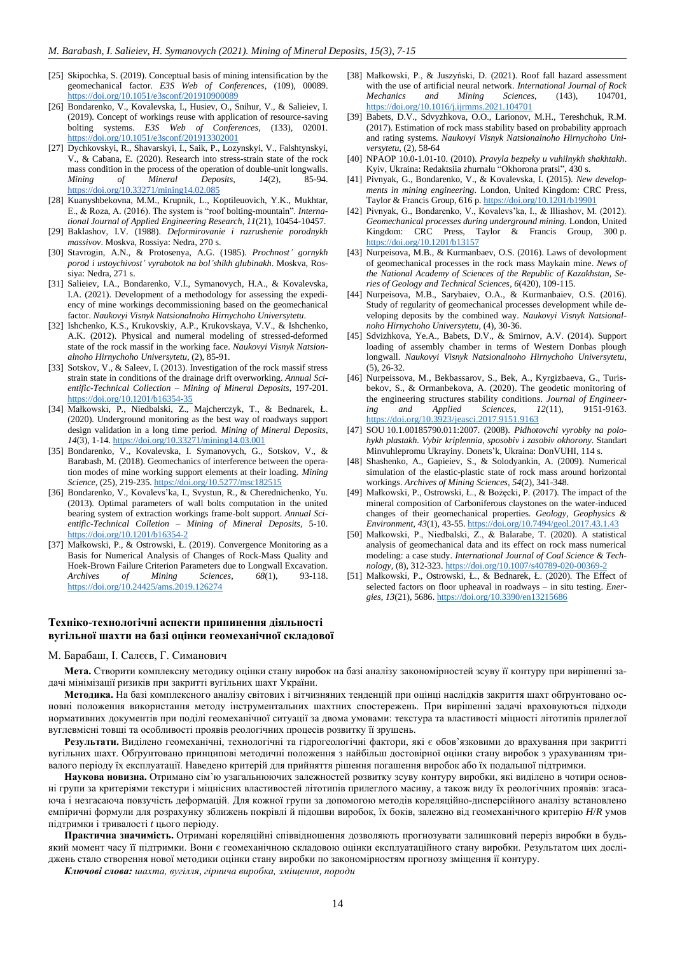- [25] Skipochka, S. (2019). Conceptual basis of mining intensification by the geomechanical factor. *E3S Web of Conferences*, (109), 00089. https://doi.org/10.1051/e3sconf/201910900089
- [26] Bondarenko, V., Kovalevska, I., Husiev, O., Snihur, V., & Salieiev, I. (2019). Concept of workings reuse with application of resource-saving bolting systems. *E3S Web of Conferences*, (133), 02001. https://doi.org/10.1051/e3sconf/201913302001
- [27] Dychkovskyi, R., Shavarskyi, I., Saik, P., Lozynskyi, V., Falshtynskyi, V., & Cabana, E. (2020). Research into stress-strain state of the rock mass condition in the process of the operation of double-unit longwalls. *Mining of Mineral Deposits*, *14*(2), 85-94. https://doi.org/10.33271/mining14.02.085
- <span id="page-7-0"></span>[28] Kuanyshbekovna, M.M., Krupnik, L., Koptileuovich, Y.K., Mukhtar, E., & Roza, A. (2016). The system is "roof bolting-mountain". *International Journal of Applied Engineering Research*, *11*(21), 10454-10457.
- <span id="page-7-1"></span>[29] Baklashov, I.V. (1988). *Deformirovanie i razrushenie porodnykh massivov*. Moskva, Rossiya: Nedra, 270 s.
- <span id="page-7-2"></span>[30] Stavrogin, A.N., & Protosenya, A.G. (1985). *Prochnost' gornykh porod i ustoychivost' vyrabotok na bol'shikh glubinakh*. Moskva, Rossiya: Nedra, 271 s.
- <span id="page-7-3"></span>[31] Salieiev, I.A., Bondarenko, V.I., Symanovych, H.А., & Kovalevska, I.A. (2021). Development of a methodology for assessing the expediency of mine workings decommissioning based on the geomechanical factor. *Naukovyi Visnyk Natsionalnoho Hirnychoho Universytetu*.
- <span id="page-7-4"></span>[32] Ishchenko, K.S., Krukovskiy, A.P., Krukovskaya, V.V., & Ishchenko, A.K. (2012). Physical and numeral modeling of stressed-deformed state of the rock massif in the working face. *Naukovyi Visnyk Natsionalnoho Hirnychoho Universytetu*, (2), 85-91.
- [33] Sotskov, V., & Saleev, I. (2013). Investigation of the rock massif stress strain state in conditions of the drainage drift overworking. *Annual Scientific-Technical Collection – Mining of Mineral Deposits*, 197-201. https://doi.org/10.1201/b16354-35
- [34] Małkowski, P., Niedbalski, Z., Majcherczyk, T., & Bednarek, Ł. (2020). Underground monitoring as the best way of roadways support design validation in a long time period. *Mining of Mineral Deposits*, *14*(3), 1-14. https://doi.org/10.33271/mining14.03.001
- [35] Bondarenko, V., Kovalevska, I. Symanovych, G., Sotskov, V., & Barabash, M. (2018). Geomechanics of interference between the operation modes of mine working support elements at their loading. *Mining Science*, (25), 219-235. https://doi.org/10.5277/msc182515
- <span id="page-7-5"></span>[36] Bondarenko, V., Kovalevs'ka, I., Svystun, R., & Cherednichenko, Yu. (2013). Optimal parameters of wall bolts computation in the united bearing system of extraction workings frame-bolt support. *Annual Scientific-Technical Colletion – Mining of Mineral Deposits*, 5-10. https://doi.org/10.1201/b16354-2
- <span id="page-7-6"></span>[37] Małkowski, P., & Ostrowski, Ł. (2019). Convergence Monitoring as a Basis for Numerical Analysis of Changes of Rock-Mass Quality and Hoek-Brown Failure Criterion Parameters due to Longwall Excavation.<br>Archives of Mining Sciences, 68(1), 93-118. *Archives* of *Mining Sciences*, https://doi.org/10.24425/ams.2019.126274

#### <span id="page-7-7"></span>[38] Małkowski, P., & Juszyński, D. (2021). Roof fall hazard assessment with the use of artificial neural network. *International Journal of Rock Mechanics and Mining Sciences*, (143), 104701, *Mechanics and Mining Sciences*, (143), 104701, https://doi.org/10.1016/j.ijrmms.2021.104701

- <span id="page-7-8"></span>[39] Babets, D.V., Sdvyzhkova, O.O., Larionov, M.H., Tereshchuk, R.M. (2017). Estimation of rock mass stability based on probability approach and rating systems. *Naukovyi Visnyk Natsionalnoho Hirnychoho Universytetu*, (2), 58-64
- <span id="page-7-9"></span>[40] NPAOP 10.0-1.01-10. (2010). *Pravyla bezpeky u vuhilnykh shakhtakh*. Kyiv, Ukraina: Redaktsiia zhurnalu "Okhorona pratsi", 430 s.
- [41] Pivnyak, G., Bondarenko, V., & Kovalevska, I. (2015). *New developments in mining engineering*. London, United Kingdom: CRC Press, Taylor & Francis Group, 616 p. https://doi.org/10.1201/b19901
- <span id="page-7-10"></span>[42] Pivnyak, G., Bondarenko, V., Kovalevs'ka, I., & Illiashov, M. (2012). *Geomechanical processes during underground mining.* London, United Kingdom: CRC Press, Taylor & Francis Group, 300 p. https://doi.org/10.1201/b13157
- <span id="page-7-11"></span>[43] Nurpeisova, M.B., & Kurmanbaev, O.S. (2016). Laws of devolopment of geomechanical processes in the rock mass Maykain mine. *News of the National Academy of Sciences of the Republic of Kazakhstan, Series of Geology and Technical Sciences*, *6*(420), 109-115.
- <span id="page-7-12"></span>[44] Nurpeisova, M.B., Sarybaiev, O.A., & Kurmanbaiev, O.S. (2016). Study of regularity of geomechanical processes development while developing deposits by the combined way. *Naukovyi Visnyk Natsionalnoho Hirnychoho Universytetu*, (4), 30-36.
- <span id="page-7-13"></span>[45] Sdvizhkova, Ye.A., Babets, D.V., & Smirnov, A.V. (2014). Support loading of assembly chamber in terms of Western Donbas plough longwall. *Naukovyi Visnyk Natsionalnoho Hirnychoho Universytetu*, (5), 26-32.
- <span id="page-7-14"></span>[46] Nurpeissova, M., Bekbassarov, S., Bek, A., Kyrgizbaeva, G., Turisbekov, S., & Ormanbekova, A. (2020). The geodetic monitoring of the engineering structures stability conditions. *Journal of Engineering and Applied Sciences*, *12*(11), 9151-9163. https://doi.org/10.3923/jeasci.2017.9151.9163
- <span id="page-7-15"></span>[47] SOU 10.1.00185790.011:2007. (2008). *Pidhotovchi vyrobky na polohykh plastakh. Vybir kriplennia, sposobiv i zasobiv okhorony*. Standart Minvuhlepromu Ukrayiny. Donets'k, Ukraina: DonVUHI, 114 s.
- <span id="page-7-16"></span>[48] Shashenko, A., Gapieiev, S., & Solodyankin, A. (2009). Numerical simulation of the elastic-plastic state of rock mass around horizontal workings. *Archives of Mining Sciences*, *54*(2), 341-348.
- <span id="page-7-17"></span>[49] Małkowski, P., Ostrowski, Ł., & Bożęcki, P. (2017). The impact of the mineral composition of Carboniferous claystones on the water-induced changes of their geomechanical properties. *Geology, Geophysics & Environment*, *43*(1), 43-55. https://doi.org/10.7494/geol.2017.43.1.43
- <span id="page-7-18"></span>[50] Małkowski, P., Niedbalski, Z., & Balarabe, T. (2020). A statistical analysis of geomechanical data and its effect on rock mass numerical modeling: a case study. *International Journal of Coal Science & Technology*, (8), 312-323. https://doi.org/10.1007/s40789-020-00369-2
- [51] Małkowski, P., Ostrowski, Ł., & Bednarek, Ł. (2020). The Effect of selected factors on floor upheaval in roadways – in situ testing. *Energies*, *13*(21), 5686. https://doi.org/10.3390/en13215686

# **Техніко-технологічні аспекти припинення діяльності вугільної шахти на базі оцінки геомеханічної складової**

# М. Барабаш, І. Салєєв, Г. Симанович

**Мета.** Створити комплексну методику оцінки стану виробок на базі аналізу закономірностей зсуву її контуру при вирішенні задачі мінімізації ризиків при закритті вугільних шахт України.

Методика. На базі комплексного аналізу світових і вітчизняних тенденцій при оцінці наслідків закриття шахт обґрунтовано основні положення використання методу інструментальних шахтних спостережень. При вирішенні задачі враховуються підходи нормативних документів при поділі геомеханічної ситуації за двома умовами: текстура та властивості міцності літотипів прилеглої вуглевмісні товщі та особливості проявів реологічних процесів розвитку її зрушень.

**Результати.** Виділено геомеханічні, технологічні та гідрогеологічні фактори, які є обов'язковими до врахування при закритті вугільних шахт. Обґрунтовано принципові методичні положення з найбільш достовірної оцінки стану виробок з урахуванням тривалого періоду їх експлуатації. Наведено критерій для прийняття рішення погашення виробок або їх подальшої підтримки.

**Наукова новизна.** Отримано сім'ю узагальнюючих залежностей розвитку зсуву контуру виробки, які виділено в чотири основні групи за критеріями текстури і міцнісних властивостей літотипів прилеглого масиву, а також виду їх реологічних проявів: згасаюча і незгасаюча повзучість деформацій. Для кожної групи за допомогою методів кореляційно-дисперсійного аналізу встановлено емпіричні формули для розрахунку зближень покрівлі й підошви виробок, їх боків, залежно від геомеханічного критерію *H*/*R* умов підтримки і тривалості *t* цього періоду.

**Практична значимість.** Отримані кореляційні співвідношення дозволяють прогнозувати залишковий переріз виробки в будьякий момент часу її підтримки. Вони є геомеханічною складовою оцінки експлуатаційного стану виробки. Результатом цих досліджень стало створення нової методики оцінки стану виробки по закономірностям прогнозу зміщення її контуру.

*Ключові слова: шахта, вугілля, гірнича виробка, зміщення, породи*